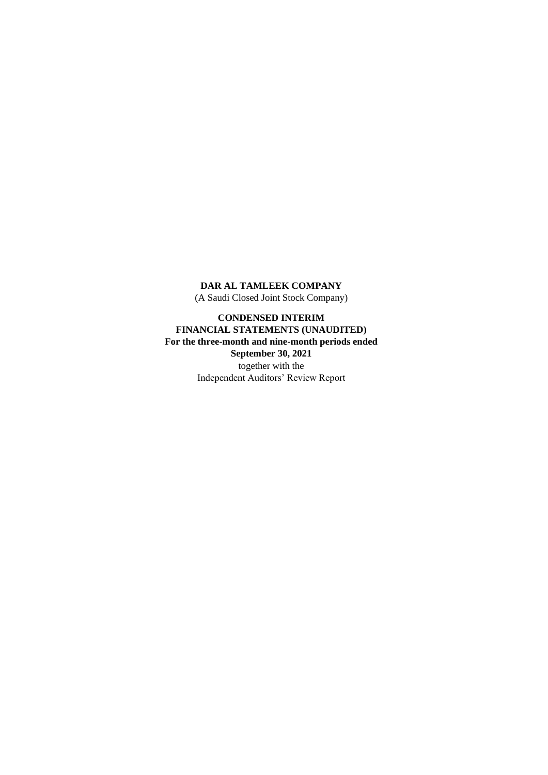**DAR AL TAMLEEK COMPANY** (A Saudi Closed Joint Stock Company)

**CONDENSED INTERIM FINANCIAL STATEMENTS (UNAUDITED) For the three-month and nine-month periods ended September 30, 2021** together with the Independent Auditors' Review Report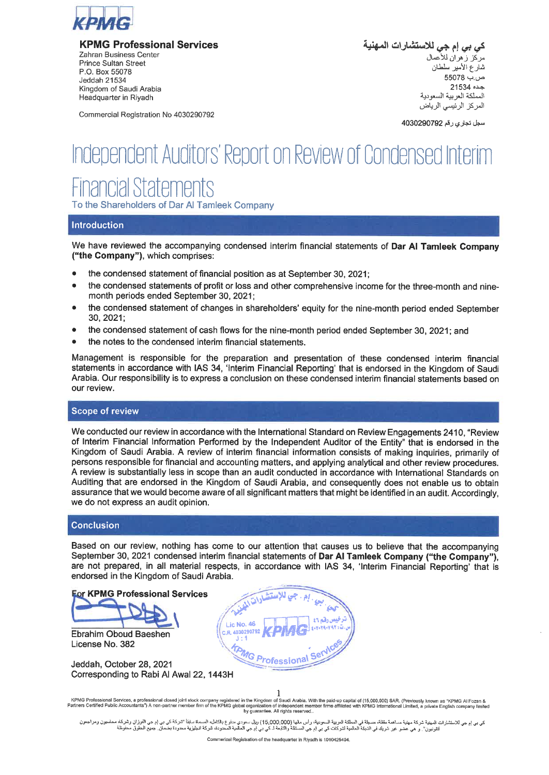

**KPMG Professional Services** 

Zahran Business Center Prince Sultan Street P.O. Box 55078 Jeddah 21534 Kingdom of Saudi Arabia Headquarter in Riyadh

ك*ي بي* إم *جي* للاستشارات المهن<sub>!</sub> مركز زهران للأعمال شارع الأمير سلطان ص.ب 55078 جده 21534 المملكة العربية السعودية المركز الرئيسي الرياض

Commercial Registration No 4030290792

سجل تجاري رقم 4030290792

# Independent Auditors' Report on Review of Condensed Interim **Financial Statements**

To the Shareholders of Dar Al Tamleek Company

## **Introduction**

We have reviewed the accompanying condensed interim financial statements of Dar AI Tamleek Company ("the Company"), which comprises:

- the condensed statement of financial position as at September 30, 2021;  $\bullet$
- the condensed statements of profit or loss and other comprehensive income for the three-month and nineò month periods ended September 30, 2021;
- the condensed statement of changes in shareholders' equity for the nine-month period ended September 30, 2021;
- the condensed statement of cash flows for the nine-month period ended September 30, 2021; and  $\bullet$
- the notes to the condensed interim financial statements.

Management is responsible for the preparation and presentation of these condensed interim financial statements in accordance with IAS 34, 'Interim Financial Reporting' that is endorsed in the Kingdom of Saudi Arabia. Our responsibility is to express a conclusion on these condensed interim financial statements based on our review.

#### **Scope of review**

We conducted our review in accordance with the International Standard on Review Engagements 2410, "Review of Interim Financial Information Performed by the Independent Auditor of the Entity" that is endorsed in the Kingdom of Saudi Arabia. A review of interim financial information consists of making inquiries, primarily of persons responsible for financial and accounting matters, and applying analytical and other review procedures. A review is substantially less in scope than an audit conducted in accordance with International Standards on Auditing that are endorsed in the Kingdom of Saudi Arabia, and consequently does not enable us to obtain assurance that we would become aware of all significant matters that might be identified in an audit. Accordingly, we do not express an audit opinion.

## **Conclusion**

Based on our review, nothing has come to our attention that causes us to believe that the accompanying September 30, 2021 condensed interim financial statements of Dar AI Tamleek Company ("the Company"), are not prepared, in all material respects, in accordance with IAS 34, 'Interim Financial Reporting' that is endorsed in the Kingdom of Saudi Arabia.



**Ebrahim Oboud Baeshen** License No. 382

Jeddah, October 28, 2021 Corresponding to Rabi Al Awal 22, 1443H

64 رخيص وهم ٤٦ Lic No. 46 **LYLYGIVAY : L** C.R. 4030290792 **MG Professional** 

-1 KPMG Professional Services, a professional closed joint stock company registered in the Kingdom of Saudi Arabia. With the pati∹up capital of (15,000,000) SAR. (Previously known as "KPMG AI Fozan &<br>Partners Certified Publi

كي بي إم جي للاستثارات المينية شركة ميناسم منظمة مسجلة منظمة المسلمية من سواح (15,000,000) (برال سعودي منوع بلكامل، المسمة سبقا "شركة كي بي إم جي الفرزان رشركاء محاسبون ومراجعون<br>- قد تقريرن". و هي عشر غير شريك في الثبكة ا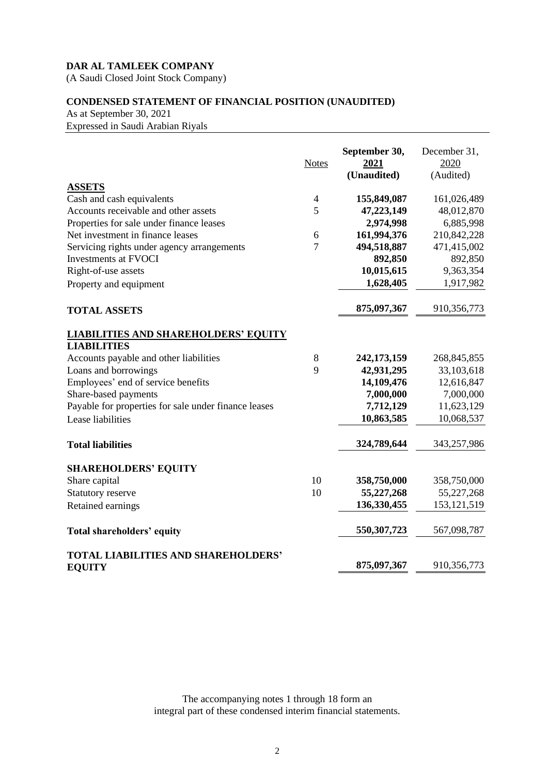(A Saudi Closed Joint Stock Company)

# **CONDENSED STATEMENT OF FINANCIAL POSITION (UNAUDITED)**

As at September 30, 2021 Expressed in Saudi Arabian Riyals

|                                                                   | <b>Notes</b>   | September 30,<br>2021<br>(Unaudited) | December 31,<br>2020<br>(Audited) |
|-------------------------------------------------------------------|----------------|--------------------------------------|-----------------------------------|
| <b>ASSETS</b>                                                     |                |                                      |                                   |
| Cash and cash equivalents                                         | $\overline{4}$ | 155,849,087                          | 161,026,489                       |
| Accounts receivable and other assets                              | 5              | 47,223,149                           | 48,012,870                        |
| Properties for sale under finance leases                          |                | 2,974,998                            | 6,885,998                         |
| Net investment in finance leases                                  | 6              | 161,994,376                          | 210,842,228                       |
| Servicing rights under agency arrangements                        | 7              | 494,518,887                          | 471,415,002                       |
| <b>Investments at FVOCI</b>                                       |                | 892,850                              | 892,850                           |
| Right-of-use assets                                               |                | 10,015,615                           | 9,363,354                         |
| Property and equipment                                            |                | 1,628,405                            | 1,917,982                         |
| <b>TOTAL ASSETS</b>                                               |                | 875,097,367                          | 910,356,773                       |
| <b>LIABILITIES AND SHAREHOLDERS' EQUITY</b><br><b>LIABILITIES</b> |                |                                      |                                   |
| Accounts payable and other liabilities                            | 8              | 242, 173, 159                        | 268,845,855                       |
| Loans and borrowings                                              | 9              | 42,931,295                           | 33,103,618                        |
| Employees' end of service benefits                                |                | 14,109,476                           | 12,616,847                        |
| Share-based payments                                              |                | 7,000,000                            | 7,000,000                         |
| Payable for properties for sale under finance leases              |                | 7,712,129                            | 11,623,129                        |
| Lease liabilities                                                 |                | 10,863,585                           | 10,068,537                        |
| <b>Total liabilities</b>                                          |                | 324,789,644                          | 343,257,986                       |
| <b>SHAREHOLDERS' EQUITY</b>                                       |                |                                      |                                   |
| Share capital                                                     | 10             | 358,750,000                          | 358,750,000                       |
| Statutory reserve                                                 | 10             | 55,227,268                           | 55,227,268                        |
| Retained earnings                                                 |                | 136,330,455                          | 153, 121, 519                     |
| Total shareholders' equity                                        |                | 550, 307, 723                        | 567,098,787                       |
| <b>TOTAL LIABILITIES AND SHAREHOLDERS'</b><br><b>EQUITY</b>       |                | 875,097,367                          | 910,356,773                       |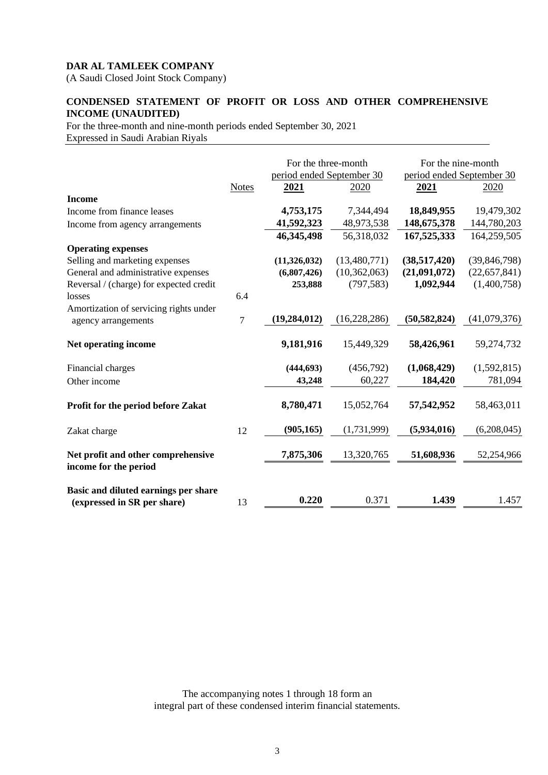(A Saudi Closed Joint Stock Company)

# **CONDENSED STATEMENT OF PROFIT OR LOSS AND OTHER COMPREHENSIVE INCOME (UNAUDITED)**

For the three-month and nine-month periods ended September 30, 2021 Expressed in Saudi Arabian Riyals

|                                                                     | For the three-month<br>period ended September 30 |                |                |                | For the nine-month<br>period ended September 30 |
|---------------------------------------------------------------------|--------------------------------------------------|----------------|----------------|----------------|-------------------------------------------------|
|                                                                     | <b>Notes</b>                                     | 2021           | 2020           | 2021           | 2020                                            |
| <b>Income</b>                                                       |                                                  |                |                |                |                                                 |
| Income from finance leases                                          |                                                  | 4,753,175      | 7,344,494      | 18,849,955     | 19,479,302                                      |
| Income from agency arrangements                                     |                                                  | 41,592,323     | 48,973,538     | 148, 675, 378  | 144,780,203                                     |
|                                                                     |                                                  | 46,345,498     | 56,318,032     | 167,525,333    | 164,259,505                                     |
| <b>Operating expenses</b>                                           |                                                  |                |                |                |                                                 |
| Selling and marketing expenses                                      |                                                  | (11,326,032)   | (13,480,771)   | (38,517,420)   | (39, 846, 798)                                  |
| General and administrative expenses                                 |                                                  | (6,807,426)    | (10, 362, 063) | (21,091,072)   | (22, 657, 841)                                  |
| Reversal / (charge) for expected credit                             |                                                  | 253,888        | (797, 583)     | 1,092,944      | (1,400,758)                                     |
| losses                                                              | 6.4                                              |                |                |                |                                                 |
| Amortization of servicing rights under<br>agency arrangements       | 7                                                | (19, 284, 012) | (16, 228, 286) | (50, 582, 824) | (41,079,376)                                    |
| Net operating income                                                |                                                  | 9,181,916      | 15,449,329     | 58,426,961     | 59,274,732                                      |
| Financial charges                                                   |                                                  | (444, 693)     | (456,792)      | (1,068,429)    | (1,592,815)                                     |
| Other income                                                        |                                                  | 43,248         | 60,227         | 184,420        | 781,094                                         |
| Profit for the period before Zakat                                  |                                                  | 8,780,471      | 15,052,764     | 57,542,952     | 58,463,011                                      |
| Zakat charge                                                        | 12                                               | (905, 165)     | (1,731,999)    | (5,934,016)    | (6,208,045)                                     |
| Net profit and other comprehensive<br>income for the period         |                                                  | 7,875,306      | 13,320,765     | 51,608,936     | 52,254,966                                      |
| Basic and diluted earnings per share<br>(expressed in SR per share) | 13                                               | 0.220          | 0.371          | 1.439          | 1.457                                           |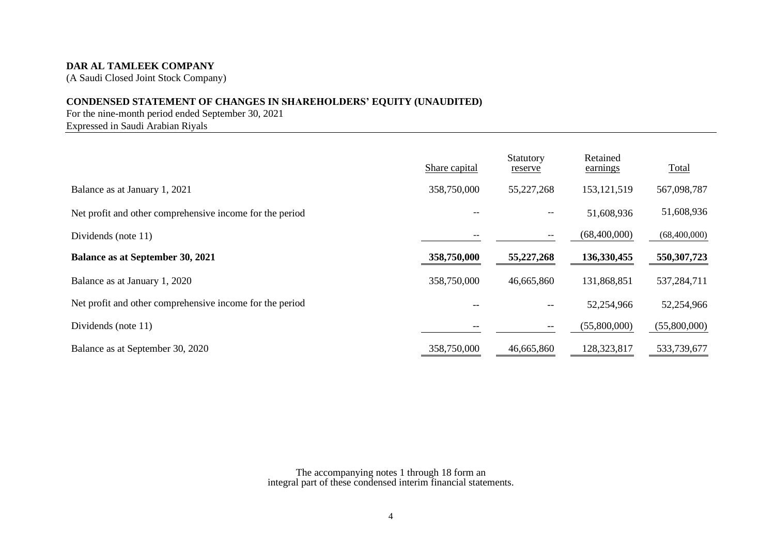(A Saudi Closed Joint Stock Company)

# **CONDENSED STATEMENT OF CHANGES IN SHAREHOLDERS' EQUITY (UNAUDITED)**

For the nine-month period ended September 30, 2021 Expressed in Saudi Arabian Riyals

|                                                          | Share capital | Statutory<br>reserve     | Retained<br>earnings | <b>Total</b>  |
|----------------------------------------------------------|---------------|--------------------------|----------------------|---------------|
| Balance as at January 1, 2021                            | 358,750,000   | 55,227,268               | 153, 121, 519        | 567,098,787   |
| Net profit and other comprehensive income for the period |               | $\qquad \qquad -$        | 51,608,936           | 51,608,936    |
| Dividends (note 11)                                      |               | $\overline{\phantom{m}}$ | (68,400,000)         | (68,400,000)  |
| <b>Balance as at September 30, 2021</b>                  | 358,750,000   | 55,227,268               | 136,330,455          | 550, 307, 723 |
| Balance as at January 1, 2020                            | 358,750,000   | 46,665,860               | 131,868,851          | 537,284,711   |
| Net profit and other comprehensive income for the period |               | $\qquad \qquad -$        | 52,254,966           | 52,254,966    |
| Dividends (note 11)                                      |               | $-\!$ –                  | (55,800,000)         | (55,800,000)  |
| Balance as at September 30, 2020                         | 358,750,000   | 46,665,860               | 128,323,817          | 533,739,677   |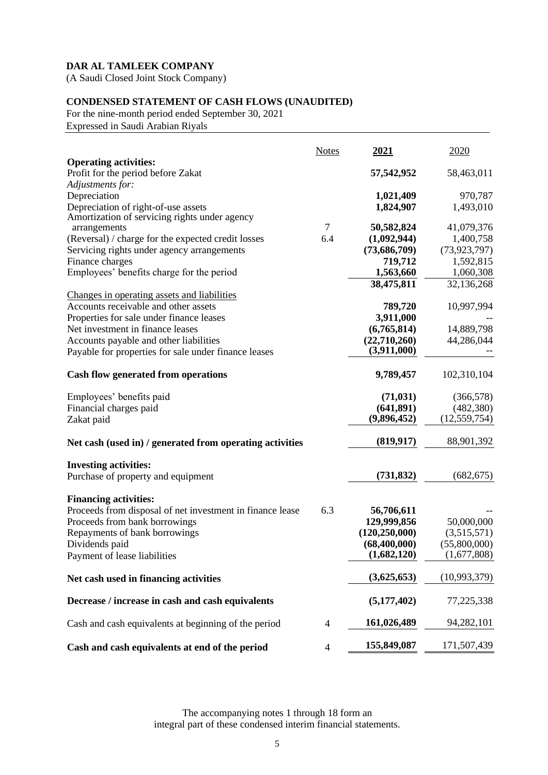(A Saudi Closed Joint Stock Company)

# **CONDENSED STATEMENT OF CASH FLOWS (UNAUDITED)**

For the nine-month period ended September 30, 2021 Expressed in Saudi Arabian Riyals

|                                                                                  | <b>Notes</b>   | 2021                 | 2020           |
|----------------------------------------------------------------------------------|----------------|----------------------|----------------|
| <b>Operating activities:</b>                                                     |                |                      |                |
| Profit for the period before Zakat                                               |                | 57,542,952           | 58,463,011     |
| Adjustments for:<br>Depreciation                                                 |                | 1,021,409            | 970,787        |
| Depreciation of right-of-use assets                                              |                | 1,824,907            | 1,493,010      |
| Amortization of servicing rights under agency                                    |                |                      |                |
| arrangements                                                                     | $\overline{7}$ | 50,582,824           | 41,079,376     |
| (Reversal) / charge for the expected credit losses                               | 6.4            | (1,092,944)          | 1,400,758      |
| Servicing rights under agency arrangements                                       |                | (73,686,709)         | (73, 923, 797) |
| Finance charges                                                                  |                | 719,712              | 1,592,815      |
| Employees' benefits charge for the period                                        |                | 1,563,660            | 1,060,308      |
|                                                                                  |                | 38,475,811           | 32,136,268     |
| Changes in operating assets and liabilities                                      |                |                      |                |
| Accounts receivable and other assets<br>Properties for sale under finance leases |                | 789,720<br>3,911,000 | 10,997,994     |
| Net investment in finance leases                                                 |                | (6,765,814)          | 14,889,798     |
| Accounts payable and other liabilities                                           |                | (22,710,260)         | 44,286,044     |
| Payable for properties for sale under finance leases                             |                | (3,911,000)          |                |
|                                                                                  |                |                      |                |
| Cash flow generated from operations                                              |                | 9,789,457            | 102,310,104    |
| Employees' benefits paid                                                         |                | (71, 031)            | (366, 578)     |
| Financial charges paid                                                           |                | (641, 891)           | (482, 380)     |
| Zakat paid                                                                       |                | (9,896,452)          | (12, 559, 754) |
| Net cash (used in) / generated from operating activities                         |                | (819, 917)           | 88,901,392     |
| <b>Investing activities:</b>                                                     |                |                      |                |
| Purchase of property and equipment                                               |                | (731, 832)           | (682, 675)     |
| <b>Financing activities:</b>                                                     |                |                      |                |
| Proceeds from disposal of net investment in finance lease                        | 6.3            | 56,706,611           |                |
| Proceeds from bank borrowings                                                    |                | 129,999,856          | 50,000,000     |
| Repayments of bank borrowings                                                    |                | (120, 250, 000)      | (3,515,571)    |
| Dividends paid                                                                   |                | (68, 400, 000)       | (55,800,000)   |
| Payment of lease liabilities                                                     |                | (1,682,120)          | (1,677,808)    |
| Net cash used in financing activities                                            |                | (3,625,653)          | (10,993,379)   |
| Decrease / increase in cash and cash equivalents                                 |                | (5, 177, 402)        | 77,225,338     |
| Cash and cash equivalents at beginning of the period                             | $\overline{4}$ | 161,026,489          | 94,282,101     |
| Cash and cash equivalents at end of the period                                   | $\overline{4}$ | 155,849,087          | 171,507,439    |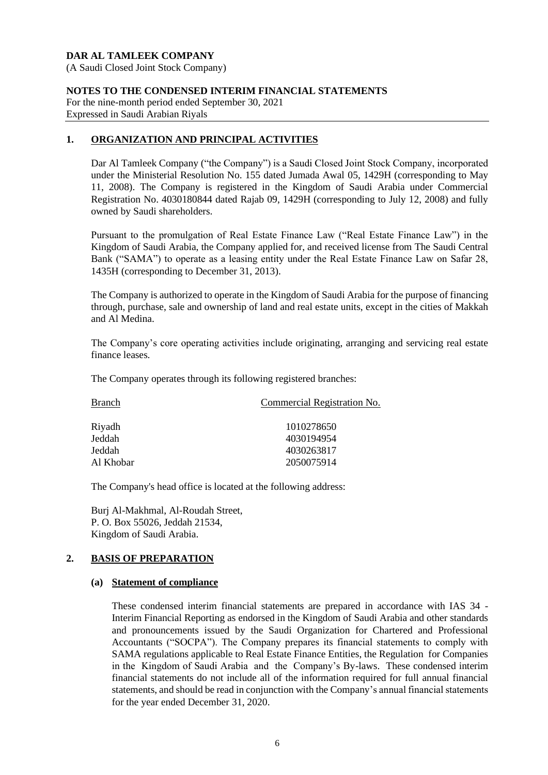(A Saudi Closed Joint Stock Company)

#### **NOTES TO THE CONDENSED INTERIM FINANCIAL STATEMENTS**

For the nine-month period ended September 30, 2021 Expressed in Saudi Arabian Riyals

# **1. ORGANIZATION AND PRINCIPAL ACTIVITIES**

Dar Al Tamleek Company ("the Company") is a Saudi Closed Joint Stock Company, incorporated under the Ministerial Resolution No. 155 dated Jumada Awal 05, 1429H (corresponding to May 11, 2008). The Company is registered in the Kingdom of Saudi Arabia under Commercial Registration No. 4030180844 dated Rajab 09, 1429H (corresponding to July 12, 2008) and fully owned by Saudi shareholders.

Pursuant to the promulgation of Real Estate Finance Law ("Real Estate Finance Law") in the Kingdom of Saudi Arabia, the Company applied for, and received license from The Saudi Central Bank ("SAMA") to operate as a leasing entity under the Real Estate Finance Law on Safar 28, 1435H (corresponding to December 31, 2013).

The Company is authorized to operate in the Kingdom of Saudi Arabia for the purpose of financing through, purchase, sale and ownership of land and real estate units, except in the cities of Makkah and Al Medina.

The Company's core operating activities include originating, arranging and servicing real estate finance leases.

The Company operates through its following registered branches:

| <b>Branch</b> | Commercial Registration No. |
|---------------|-----------------------------|
|               |                             |
| Riyadh        | 1010278650                  |
| Jeddah        | 4030194954                  |
| Jeddah        | 4030263817                  |
| Al Khobar     | 2050075914                  |

The Company's head office is located at the following address:

Burj Al-Makhmal, Al-Roudah Street, P. O. Box 55026, Jeddah 21534, Kingdom of Saudi Arabia.

# **2. BASIS OF PREPARATION**

# **(a) Statement of compliance**

These condensed interim financial statements are prepared in accordance with IAS 34 - Interim Financial Reporting as endorsed in the Kingdom of Saudi Arabia and other standards and pronouncements issued by the Saudi Organization for Chartered and Professional Accountants ("SOCPA"). The Company prepares its financial statements to comply with SAMA regulations applicable to Real Estate Finance Entities, the Regulation for Companies in the Kingdom of Saudi Arabia and the Company's By-laws. These condensed interim financial statements do not include all of the information required for full annual financial statements, and should be read in conjunction with the Company's annual financial statements for the year ended December 31, 2020.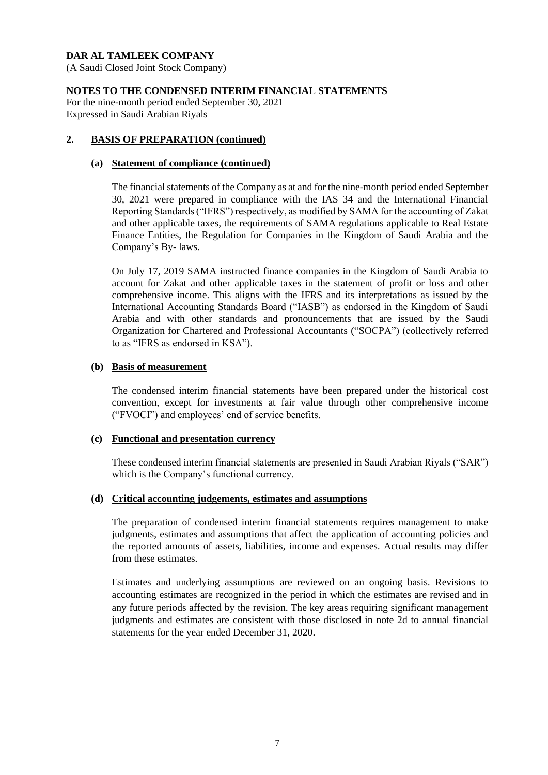(A Saudi Closed Joint Stock Company)

# **NOTES TO THE CONDENSED INTERIM FINANCIAL STATEMENTS**

For the nine-month period ended September 30, 2021 Expressed in Saudi Arabian Riyals

# **2. BASIS OF PREPARATION (continued)**

#### **(a) Statement of compliance (continued)**

The financial statements of the Company as at and for the nine-month period ended September 30, 2021 were prepared in compliance with the IAS 34 and the International Financial Reporting Standards ("IFRS") respectively, as modified by SAMA for the accounting of Zakat and other applicable taxes, the requirements of SAMA regulations applicable to Real Estate Finance Entities, the Regulation for Companies in the Kingdom of Saudi Arabia and the Company's By- laws.

On July 17, 2019 SAMA instructed finance companies in the Kingdom of Saudi Arabia to account for Zakat and other applicable taxes in the statement of profit or loss and other comprehensive income. This aligns with the IFRS and its interpretations as issued by the International Accounting Standards Board ("IASB") as endorsed in the Kingdom of Saudi Arabia and with other standards and pronouncements that are issued by the Saudi Organization for Chartered and Professional Accountants ("SOCPA") (collectively referred to as "IFRS as endorsed in KSA").

## **(b) Basis of measurement**

The condensed interim financial statements have been prepared under the historical cost convention, except for investments at fair value through other comprehensive income ("FVOCI") and employees' end of service benefits.

# **(c) Functional and presentation currency**

These condensed interim financial statements are presented in Saudi Arabian Riyals ("SAR") which is the Company's functional currency.

## **(d) Critical accounting judgements, estimates and assumptions**

The preparation of condensed interim financial statements requires management to make judgments, estimates and assumptions that affect the application of accounting policies and the reported amounts of assets, liabilities, income and expenses. Actual results may differ from these estimates.

Estimates and underlying assumptions are reviewed on an ongoing basis. Revisions to accounting estimates are recognized in the period in which the estimates are revised and in any future periods affected by the revision. The key areas requiring significant management judgments and estimates are consistent with those disclosed in note 2d to annual financial statements for the year ended December 31, 2020.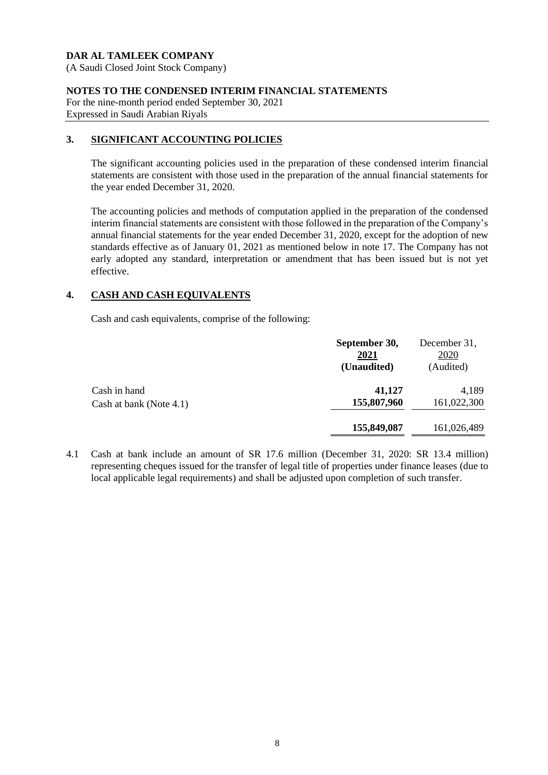(A Saudi Closed Joint Stock Company)

#### **NOTES TO THE CONDENSED INTERIM FINANCIAL STATEMENTS**

For the nine-month period ended September 30, 2021 Expressed in Saudi Arabian Riyals

# **3. SIGNIFICANT ACCOUNTING POLICIES**

The significant accounting policies used in the preparation of these condensed interim financial statements are consistent with those used in the preparation of the annual financial statements for the year ended December 31, 2020.

The accounting policies and methods of computation applied in the preparation of the condensed interim financial statements are consistent with those followed in the preparation of the Company's annual financial statements for the year ended December 31, 2020, except for the adoption of new standards effective as of January 01, 2021 as mentioned below in note 17. The Company has not early adopted any standard, interpretation or amendment that has been issued but is not yet effective.

# **4. CASH AND CASH EQUIVALENTS**

Cash and cash equivalents, comprise of the following:

|                         | September 30, | December 31, |
|-------------------------|---------------|--------------|
|                         | 2021          | 2020         |
|                         | (Unaudited)   | (Audited)    |
| Cash in hand            | 41,127        | 4,189        |
| Cash at bank (Note 4.1) | 155,807,960   | 161,022,300  |
|                         | 155,849,087   | 161,026,489  |

4.1 Cash at bank include an amount of SR 17.6 million (December 31, 2020: SR 13.4 million) representing cheques issued for the transfer of legal title of properties under finance leases (due to local applicable legal requirements) and shall be adjusted upon completion of such transfer.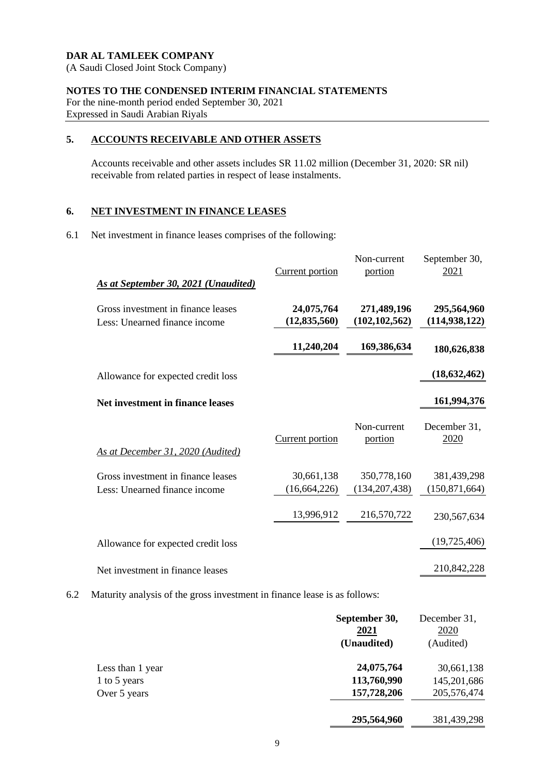(A Saudi Closed Joint Stock Company)

# **NOTES TO THE CONDENSED INTERIM FINANCIAL STATEMENTS**

For the nine-month period ended September 30, 2021 Expressed in Saudi Arabian Riyals

# **5. ACCOUNTS RECEIVABLE AND OTHER ASSETS**

Accounts receivable and other assets includes SR 11.02 million (December 31, 2020: SR nil) receivable from related parties in respect of lease instalments.

# **6. NET INVESTMENT IN FINANCE LEASES**

6.1 Net investment in finance leases comprises of the following:

| <b>As at September 30, 2021 (Unaudited)</b>                         | <b>Current portion</b>       | Non-current<br>portion         | September 30,<br>2021          |
|---------------------------------------------------------------------|------------------------------|--------------------------------|--------------------------------|
| Gross investment in finance leases<br>Less: Unearned finance income | 24,075,764<br>(12, 835, 560) | 271,489,196<br>(102, 102, 562) | 295,564,960<br>(114, 938, 122) |
|                                                                     | 11,240,204                   | 169,386,634                    | 180,626,838                    |
| Allowance for expected credit loss                                  |                              |                                | (18, 632, 462)                 |
| Net investment in finance leases                                    |                              |                                | 161,994,376                    |
| As at December 31, 2020 (Audited)                                   | <b>Current portion</b>       | Non-current<br>portion         | December 31,<br>2020           |
| Gross investment in finance leases<br>Less: Unearned finance income | 30,661,138<br>(16, 664, 226) | 350,778,160<br>(134, 207, 438) | 381,439,298<br>(150, 871, 664) |
|                                                                     | 13,996,912                   | 216,570,722                    | 230,567,634                    |
| Allowance for expected credit loss                                  |                              |                                | (19, 725, 406)                 |
| Net investment in finance leases                                    |                              |                                | 210,842,228                    |

6.2 Maturity analysis of the gross investment in finance lease is as follows:

|                  | September 30, | December 31, |
|------------------|---------------|--------------|
|                  | 2021          | 2020         |
|                  | (Unaudited)   | (Audited)    |
| Less than 1 year | 24,075,764    | 30,661,138   |
| 1 to 5 years     | 113,760,990   | 145,201,686  |
| Over 5 years     | 157,728,206   | 205,576,474  |
|                  | 295,564,960   | 381,439,298  |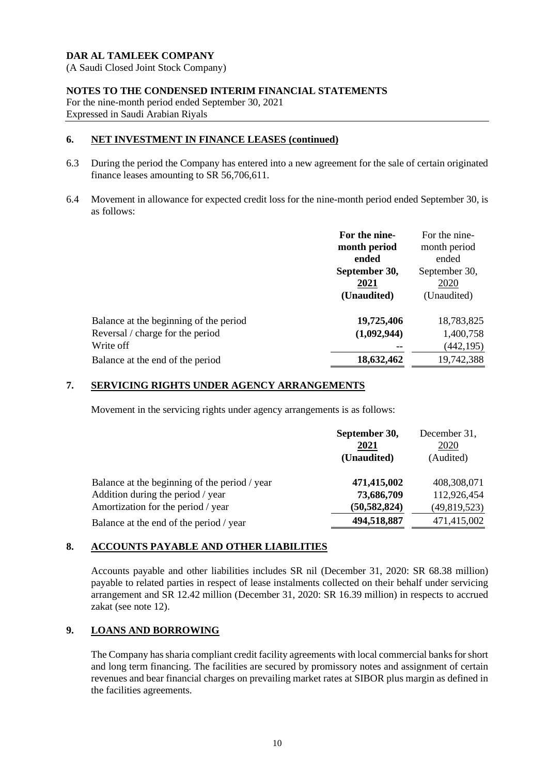(A Saudi Closed Joint Stock Company)

#### **NOTES TO THE CONDENSED INTERIM FINANCIAL STATEMENTS**

For the nine-month period ended September 30, 2021 Expressed in Saudi Arabian Riyals

#### **6. NET INVESTMENT IN FINANCE LEASES (continued)**

- 6.3 During the period the Company has entered into a new agreement for the sale of certain originated finance leases amounting to SR 56,706,611.
- 6.4 Movement in allowance for expected credit loss for the nine-month period ended September 30, is as follows:

|                                        | For the nine- | For the nine- |
|----------------------------------------|---------------|---------------|
|                                        | month period  | month period  |
|                                        | ended         | ended         |
|                                        | September 30, | September 30, |
|                                        | 2021          | 2020          |
|                                        | (Unaudited)   | (Unaudited)   |
| Balance at the beginning of the period | 19,725,406    | 18,783,825    |
| Reversal / charge for the period       | (1,092,944)   | 1,400,758     |
| Write off                              |               | (442, 195)    |
| Balance at the end of the period       | 18,632,462    | 19,742,388    |

# **7. SERVICING RIGHTS UNDER AGENCY ARRANGEMENTS**

Movement in the servicing rights under agency arrangements is as follows:

|                                               | September 30,<br>2021<br>(Unaudited) | December 31,<br>2020<br>(Audited) |
|-----------------------------------------------|--------------------------------------|-----------------------------------|
| Balance at the beginning of the period / year | 471,415,002                          | 408,308,071                       |
| Addition during the period / year             | 73,686,709                           | 112,926,454                       |
| Amortization for the period / year            | (50, 582, 824)                       | (49, 819, 523)                    |
| Balance at the end of the period / year       | 494,518,887                          | 471,415,002                       |

## **8. ACCOUNTS PAYABLE AND OTHER LIABILITIES**

Accounts payable and other liabilities includes SR nil (December 31, 2020: SR 68.38 million) payable to related parties in respect of lease instalments collected on their behalf under servicing arrangement and SR 12.42 million (December 31, 2020: SR 16.39 million) in respects to accrued zakat (see note 12).

# **9. LOANS AND BORROWING**

The Company has sharia compliant credit facility agreements with local commercial banks for short and long term financing. The facilities are secured by promissory notes and assignment of certain revenues and bear financial charges on prevailing market rates at SIBOR plus margin as defined in the facilities agreements.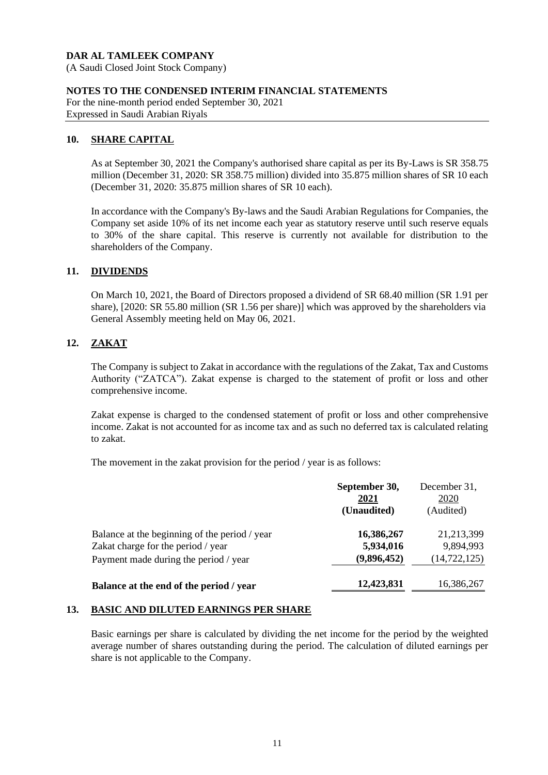(A Saudi Closed Joint Stock Company)

#### **NOTES TO THE CONDENSED INTERIM FINANCIAL STATEMENTS**

For the nine-month period ended September 30, 2021 Expressed in Saudi Arabian Riyals

# **10. SHARE CAPITAL**

As at September 30, 2021 the Company's authorised share capital as per its By-Laws is SR 358.75 million (December 31, 2020: SR 358.75 million) divided into 35.875 million shares of SR 10 each (December 31, 2020: 35.875 million shares of SR 10 each).

In accordance with the Company's By-laws and the Saudi Arabian Regulations for Companies, the Company set aside 10% of its net income each year as statutory reserve until such reserve equals to 30% of the share capital. This reserve is currently not available for distribution to the shareholders of the Company.

## **11. DIVIDENDS**

On March 10, 2021, the Board of Directors proposed a dividend of SR 68.40 million (SR 1.91 per share), [2020: SR 55.80 million (SR 1.56 per share)] which was approved by the shareholders via General Assembly meeting held on May 06, 2021.

# **12. ZAKAT**

The Company is subject to Zakat in accordance with the regulations of the Zakat, Tax and Customs Authority ("ZATCA"). Zakat expense is charged to the statement of profit or loss and other comprehensive income.

Zakat expense is charged to the condensed statement of profit or loss and other comprehensive income. Zakat is not accounted for as income tax and as such no deferred tax is calculated relating to zakat.

The movement in the zakat provision for the period / year is as follows:

|                                               | September 30,<br>2021<br>(Unaudited) | December 31,<br>2020<br>(Audited) |
|-----------------------------------------------|--------------------------------------|-----------------------------------|
| Balance at the beginning of the period / year | 16,386,267                           | 21,213,399                        |
| Zakat charge for the period / year            | 5,934,016                            | 9,894,993                         |
| Payment made during the period / year         | (9,896,452)                          | (14, 722, 125)                    |
| Balance at the end of the period / year       | 12,423,831                           | 16,386,267                        |

## **13. BASIC AND DILUTED EARNINGS PER SHARE**

Basic earnings per share is calculated by dividing the net income for the period by the weighted average number of shares outstanding during the period. The calculation of diluted earnings per share is not applicable to the Company.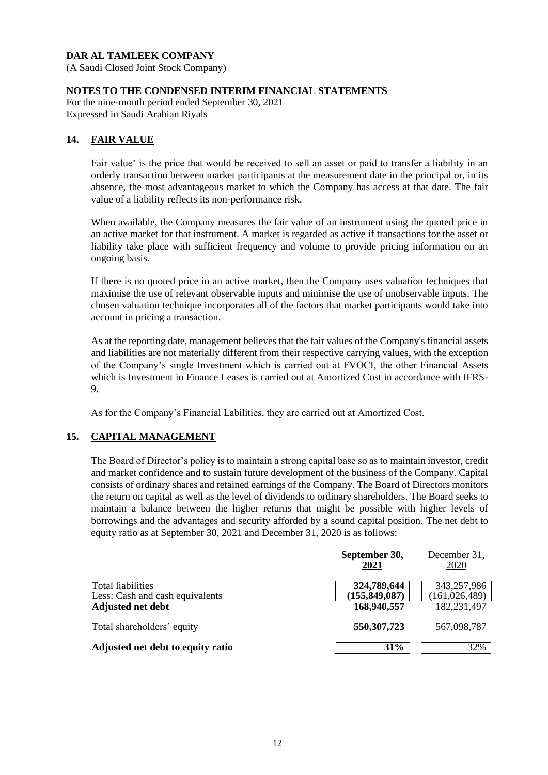(A Saudi Closed Joint Stock Company)

#### **NOTES TO THE CONDENSED INTERIM FINANCIAL STATEMENTS**

For the nine-month period ended September 30, 2021 Expressed in Saudi Arabian Riyals

# **14. FAIR VALUE**

Fair value' is the price that would be received to sell an asset or paid to transfer a liability in an orderly transaction between market participants at the measurement date in the principal or, in its absence, the most advantageous market to which the Company has access at that date. The fair value of a liability reflects its non-performance risk.

When available, the Company measures the fair value of an instrument using the quoted price in an active market for that instrument. A market is regarded as active if transactions for the asset or liability take place with sufficient frequency and volume to provide pricing information on an ongoing basis.

If there is no quoted price in an active market, then the Company uses valuation techniques that maximise the use of relevant observable inputs and minimise the use of unobservable inputs. The chosen valuation technique incorporates all of the factors that market participants would take into account in pricing a transaction.

As at the reporting date, management believes that the fair values of the Company's financial assets and liabilities are not materially different from their respective carrying values, with the exception of the Company's single Investment which is carried out at FVOCI, the other Financial Assets which is Investment in Finance Leases is carried out at Amortized Cost in accordance with IFRS-9.

As for the Company's Financial Labilities, they are carried out at Amortized Cost.

## **15. CAPITAL MANAGEMENT**

The Board of Director's policy is to maintain a strong capital base so as to maintain investor, credit and market confidence and to sustain future development of the business of the Company. Capital consists of ordinary shares and retained earnings of the Company. The Board of Directors monitors the return on capital as well as the level of dividends to ordinary shareholders. The Board seeks to maintain a balance between the higher returns that might be possible with higher levels of borrowings and the advantages and security afforded by a sound capital position. The net debt to equity ratio as at September 30, 2021 and December 31, 2020 is as follows:

|                                   | September 30,<br>2021 | December 31,<br>2020 |
|-----------------------------------|-----------------------|----------------------|
| Total liabilities                 | 324,789,644           | 343,257,986          |
| Less: Cash and cash equivalents   | (155, 849, 087)       | (161, 026, 489)      |
| <b>Adjusted net debt</b>          | 168,940,557           | 182,231,497          |
| Total shareholders' equity        | 550, 307, 723         | 567,098,787          |
| Adjusted net debt to equity ratio | <b>31%</b>            | 32%                  |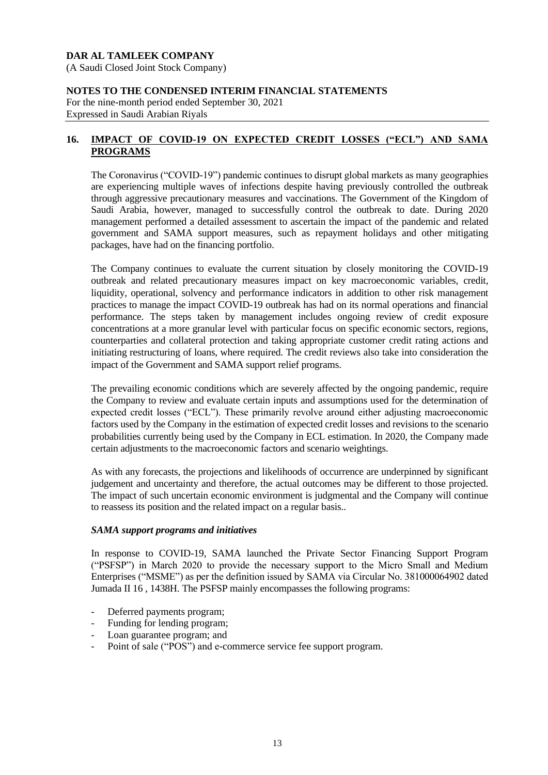(A Saudi Closed Joint Stock Company)

#### **NOTES TO THE CONDENSED INTERIM FINANCIAL STATEMENTS**

For the nine-month period ended September 30, 2021 Expressed in Saudi Arabian Riyals

# **16. IMPACT OF COVID-19 ON EXPECTED CREDIT LOSSES ("ECL") AND SAMA PROGRAMS**

The Coronavirus ("COVID-19") pandemic continues to disrupt global markets as many geographies are experiencing multiple waves of infections despite having previously controlled the outbreak through aggressive precautionary measures and vaccinations. The Government of the Kingdom of Saudi Arabia, however, managed to successfully control the outbreak to date. During 2020 management performed a detailed assessment to ascertain the impact of the pandemic and related government and SAMA support measures, such as repayment holidays and other mitigating packages, have had on the financing portfolio.

The Company continues to evaluate the current situation by closely monitoring the COVID-19 outbreak and related precautionary measures impact on key macroeconomic variables, credit, liquidity, operational, solvency and performance indicators in addition to other risk management practices to manage the impact COVID-19 outbreak has had on its normal operations and financial performance. The steps taken by management includes ongoing review of credit exposure concentrations at a more granular level with particular focus on specific economic sectors, regions, counterparties and collateral protection and taking appropriate customer credit rating actions and initiating restructuring of loans, where required. The credit reviews also take into consideration the impact of the Government and SAMA support relief programs.

The prevailing economic conditions which are severely affected by the ongoing pandemic, require the Company to review and evaluate certain inputs and assumptions used for the determination of expected credit losses ("ECL"). These primarily revolve around either adjusting macroeconomic factors used by the Company in the estimation of expected credit losses and revisions to the scenario probabilities currently being used by the Company in ECL estimation. In 2020, the Company made certain adjustments to the macroeconomic factors and scenario weightings.

As with any forecasts, the projections and likelihoods of occurrence are underpinned by significant judgement and uncertainty and therefore, the actual outcomes may be different to those projected. The impact of such uncertain economic environment is judgmental and the Company will continue to reassess its position and the related impact on a regular basis..

# *SAMA support programs and initiatives*

In response to COVID-19, SAMA launched the Private Sector Financing Support Program ("PSFSP") in March 2020 to provide the necessary support to the Micro Small and Medium Enterprises ("MSME") as per the definition issued by SAMA via Circular No. 381000064902 dated Jumada II 16 , 1438H. The PSFSP mainly encompasses the following programs:

- Deferred payments program;
- Funding for lending program;
- Loan guarantee program; and
- Point of sale ("POS") and e-commerce service fee support program.